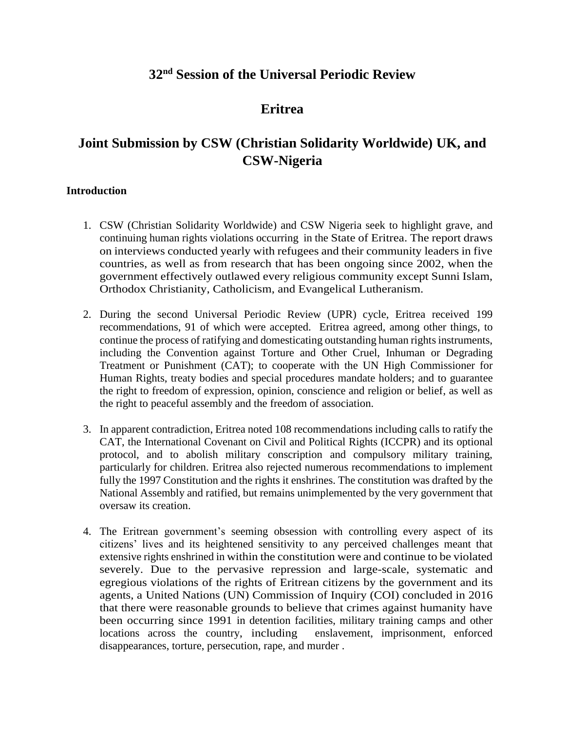# **32nd Session of the Universal Periodic Review**

# **Eritrea**

# **Joint Submission by CSW (Christian Solidarity Worldwide) UK, and CSW-Nigeria**

### **Introduction**

- 1. CSW (Christian Solidarity Worldwide) and CSW Nigeria seek to highlight grave, and continuing human rights violations occurring in the State of Eritrea. The report draws on interviews conducted yearly with refugees and their community leaders in five countries, as well as from research that has been ongoing since 2002, when the government effectively outlawed every religious community except Sunni Islam, Orthodox Christianity, Catholicism, and Evangelical Lutheranism.
- 2. During the second Universal Periodic Review (UPR) cycle, Eritrea received 199 recommendations, 91 of which were accepted. Eritrea agreed, among other things, to continue the process of ratifying and domesticating outstanding human rights instruments, including the Convention against Torture and Other Cruel, Inhuman or Degrading Treatment or Punishment (CAT); to cooperate with the UN High Commissioner for Human Rights, treaty bodies and special procedures mandate holders; and to guarantee the right to freedom of expression, opinion, conscience and religion or belief, as well as the right to peaceful assembly and the freedom of association.
- 3. In apparent contradiction, Eritrea noted 108 recommendations including calls to ratify the CAT, the International Covenant on Civil and Political Rights (ICCPR) and its optional protocol, and to abolish military conscription and compulsory military training, particularly for children. Eritrea also rejected numerous recommendations to implement fully the 1997 Constitution and the rights it enshrines. The constitution was drafted by the National Assembly and ratified, but remains unimplemented by the very government that oversaw its creation.
- 4. The Eritrean government's seeming obsession with controlling every aspect of its citizens' lives and its heightened sensitivity to any perceived challenges meant that extensive rights enshrined in within the constitution were and continue to be violated severely. Due to the pervasive repression and large-scale, systematic and egregious violations of the rights of Eritrean citizens by the government and its agents, a United Nations (UN) Commission of Inquiry (COI) concluded in 2016 that there were reasonable grounds to believe that crimes against humanity have been occurring since 1991 in detention facilities, military training camps and other locations across the country, including enslavement, imprisonment, enforced disappearances, torture, persecution, rape, and murder .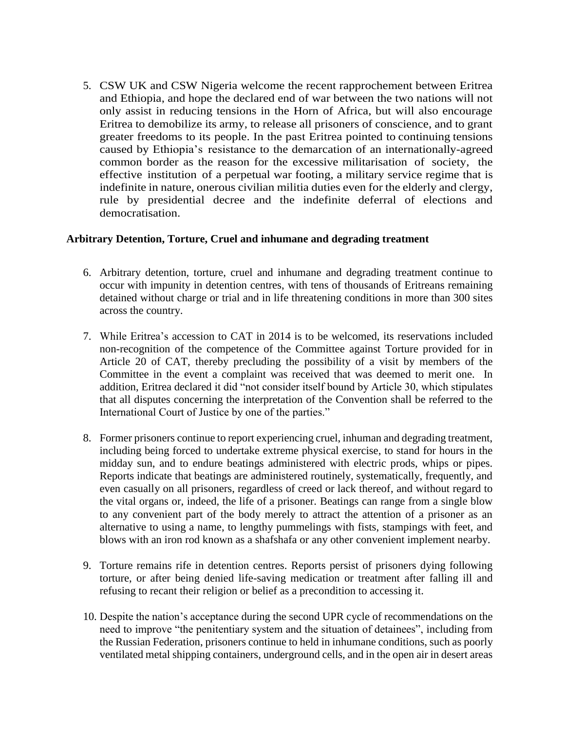5. CSW UK and CSW Nigeria welcome the recent rapprochement between Eritrea and Ethiopia, and hope the declared end of war between the two nations will not only assist in reducing tensions in the Horn of Africa, but will also encourage Eritrea to demobilize its army, to release all prisoners of conscience, and to grant greater freedoms to its people. In the past Eritrea pointed to continuing tensions caused by Ethiopia's resistance to the demarcation of an internationally-agreed common border as the reason for the excessive militarisation of society, the effective institution of a perpetual war footing, a military service regime that is indefinite in nature, onerous civilian militia duties even for the elderly and clergy, rule by presidential decree and the indefinite deferral of elections and democratisation.

## **Arbitrary Detention, Torture, Cruel and inhumane and degrading treatment**

- 6. Arbitrary detention, torture, cruel and inhumane and degrading treatment continue to occur with impunity in detention centres, with tens of thousands of Eritreans remaining detained without charge or trial and in life threatening conditions in more than 300 sites across the country.
- 7. While Eritrea's accession to CAT in 2014 is to be welcomed, its reservations included non-recognition of the competence of the Committee against Torture provided for in Article 20 of CAT, thereby precluding the possibility of a visit by members of the Committee in the event a complaint was received that was deemed to merit one. In addition, Eritrea declared it did "not consider itself bound by Article 30, which stipulates that all disputes concerning the interpretation of the Convention shall be referred to the International Court of Justice by one of the parties."
- 8. Former prisoners continue to report experiencing cruel, inhuman and degrading treatment, including being forced to undertake extreme physical exercise, to stand for hours in the midday sun, and to endure beatings administered with electric prods, whips or pipes. Reports indicate that beatings are administered routinely, systematically, frequently, and even casually on all prisoners, regardless of creed or lack thereof, and without regard to the vital organs or, indeed, the life of a prisoner. Beatings can range from a single blow to any convenient part of the body merely to attract the attention of a prisoner as an alternative to using a name, to lengthy pummelings with fists, stampings with feet, and blows with an iron rod known as a shafshafa or any other convenient implement nearby.
- 9. Torture remains rife in detention centres. Reports persist of prisoners dying following torture, or after being denied life-saving medication or treatment after falling ill and refusing to recant their religion or belief as a precondition to accessing it.
- 10. Despite the nation's acceptance during the second UPR cycle of recommendations on the need to improve "the penitentiary system and the situation of detainees", including from the Russian Federation, prisoners continue to held in inhumane conditions, such as poorly ventilated metal shipping containers, underground cells, and in the open air in desert areas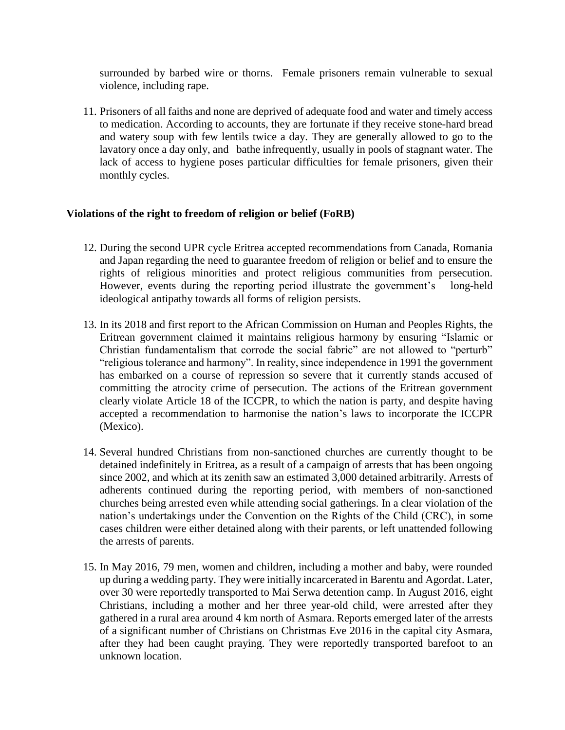surrounded by barbed wire or thorns. Female prisoners remain vulnerable to sexual violence, including rape.

11. Prisoners of all faiths and none are deprived of adequate food and water and timely access to medication. According to accounts, they are fortunate if they receive stone-hard bread and watery soup with few lentils twice a day. They are generally allowed to go to the lavatory once a day only, and bathe infrequently, usually in pools of stagnant water. The lack of access to hygiene poses particular difficulties for female prisoners, given their monthly cycles.

### **Violations of the right to freedom of religion or belief (FoRB)**

- 12. During the second UPR cycle Eritrea accepted recommendations from Canada, Romania and Japan regarding the need to guarantee freedom of religion or belief and to ensure the rights of religious minorities and protect religious communities from persecution. However, events during the reporting period illustrate the government's long-held ideological antipathy towards all forms of religion persists.
- 13. In its 2018 and first report to the African Commission on Human and Peoples Rights, the Eritrean government claimed it maintains religious harmony by ensuring "Islamic or Christian fundamentalism that corrode the social fabric" are not allowed to "perturb" "religious tolerance and harmony". In reality, since independence in 1991 the government has embarked on a course of repression so severe that it currently stands accused of committing the atrocity crime of persecution. The actions of the Eritrean government clearly violate Article 18 of the ICCPR, to which the nation is party, and despite having accepted a recommendation to harmonise the nation's laws to incorporate the ICCPR (Mexico).
- 14. Several hundred Christians from non-sanctioned churches are currently thought to be detained indefinitely in Eritrea, as a result of a campaign of arrests that has been ongoing since 2002, and which at its zenith saw an estimated 3,000 detained arbitrarily. Arrests of adherents continued during the reporting period, with members of non-sanctioned churches being arrested even while attending social gatherings. In a clear violation of the nation's undertakings under the Convention on the Rights of the Child (CRC), in some cases children were either detained along with their parents, or left unattended following the arrests of parents.
- 15. In May 2016, 79 men, women and children, including a mother and baby, were rounded up during a wedding party. They were initially incarcerated in Barentu and Agordat. Later, over 30 were reportedly transported to Mai Serwa detention camp. In August 2016, eight Christians, including a mother and her three year-old child, were arrested after they gathered in a rural area around 4 km north of Asmara. Reports emerged later of the arrests of a significant number of Christians on Christmas Eve 2016 in the capital city Asmara, after they had been caught praying. They were reportedly transported barefoot to an unknown location.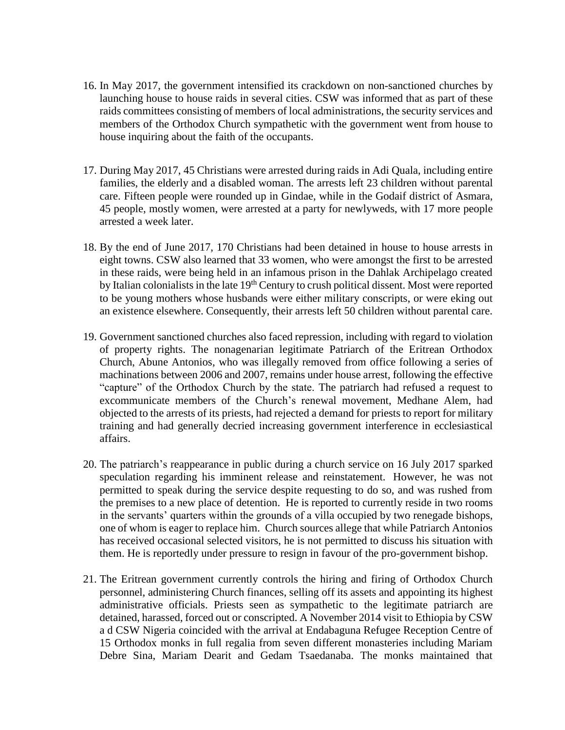- 16. In May 2017, the government intensified its crackdown on non-sanctioned churches by launching house to house raids in several cities. CSW was informed that as part of these raids committees consisting of members of local administrations, the security services and members of the Orthodox Church sympathetic with the government went from house to house inquiring about the faith of the occupants.
- 17. During May 2017, 45 Christians were arrested during raids in Adi Quala, including entire families, the elderly and a disabled woman. The arrests left 23 children without parental care. Fifteen people were rounded up in Gindae, while in the Godaif district of Asmara, 45 people, mostly women, were arrested at a party for newlyweds, with 17 more people arrested a week later.
- 18. By the end of June 2017, 170 Christians had been detained in house to house arrests in eight towns. CSW also learned that 33 women, who were amongst the first to be arrested in these raids, were being held in an infamous prison in the Dahlak Archipelago created by Italian colonialists in the late 19<sup>th</sup> Century to crush political dissent. Most were reported to be young mothers whose husbands were either military conscripts, or were eking out an existence elsewhere. Consequently, their arrests left 50 children without parental care.
- 19. Government sanctioned churches also faced repression, including with regard to violation of property rights. The nonagenarian legitimate Patriarch of the Eritrean Orthodox Church, Abune Antonios, who was illegally removed from office following a series of machinations between 2006 and 2007, remains under house arrest, following the effective "capture" of the Orthodox Church by the state. The patriarch had refused a request to excommunicate members of the Church's renewal movement, Medhane Alem, had objected to the arrests of its priests, had rejected a demand for priests to report for military training and had generally decried increasing government interference in ecclesiastical affairs.
- 20. The patriarch's reappearance in public during a church service on 16 July 2017 sparked speculation regarding his imminent release and reinstatement. However, he was not permitted to speak during the service despite requesting to do so, and was rushed from the premises to a new place of detention. He is reported to currently reside in two rooms in the servants' quarters within the grounds of a villa occupied by two renegade bishops, one of whom is eager to replace him. Church sources allege that while Patriarch Antonios has received occasional selected visitors, he is not permitted to discuss his situation with them. He is reportedly under pressure to resign in favour of the pro-government bishop.
- 21. The Eritrean government currently controls the hiring and firing of Orthodox Church personnel, administering Church finances, selling off its assets and appointing its highest administrative officials. Priests seen as sympathetic to the legitimate patriarch are detained, harassed, forced out or conscripted. A November 2014 visit to Ethiopia by CSW a d CSW Nigeria coincided with the arrival at Endabaguna Refugee Reception Centre of 15 Orthodox monks in full regalia from seven different monasteries including Mariam Debre Sina, Mariam Dearit and Gedam Tsaedanaba. The monks maintained that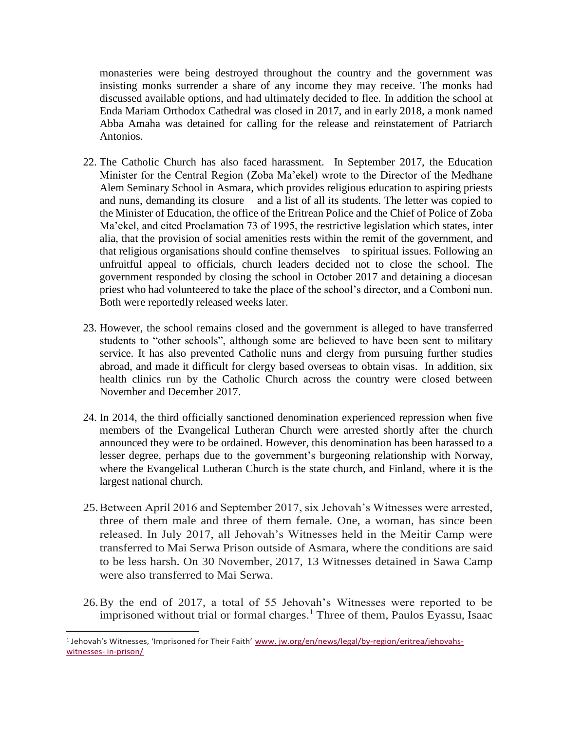monasteries were being destroyed throughout the country and the government was insisting monks surrender a share of any income they may receive. The monks had discussed available options, and had ultimately decided to flee. In addition the school at Enda Mariam Orthodox Cathedral was closed in 2017, and in early 2018, a monk named Abba Amaha was detained for calling for the release and reinstatement of Patriarch Antonios.

- 22. The Catholic Church has also faced harassment. In September 2017, the Education Minister for the Central Region (Zoba Ma'ekel) wrote to the Director of the Medhane Alem Seminary School in Asmara, which provides religious education to aspiring priests and nuns, demanding its closure and a list of all its students. The letter was copied to the Minister of Education, the office of the Eritrean Police and the Chief of Police of Zoba Ma'ekel, and cited Proclamation 73 of 1995, the restrictive legislation which states, inter alia, that the provision of social amenities rests within the remit of the government, and that religious organisations should confine themselves to spiritual issues. Following an unfruitful appeal to officials, church leaders decided not to close the school. The government responded by closing the school in October 2017 and detaining a diocesan priest who had volunteered to take the place of the school's director, and a Comboni nun. Both were reportedly released weeks later.
- 23. However, the school remains closed and the government is alleged to have transferred students to "other schools", although some are believed to have been sent to military service. It has also prevented Catholic nuns and clergy from pursuing further studies abroad, and made it difficult for clergy based overseas to obtain visas. In addition, six health clinics run by the Catholic Church across the country were closed between November and December 2017.
- 24. In 2014, the third officially sanctioned denomination experienced repression when five members of the Evangelical Lutheran Church were arrested shortly after the church announced they were to be ordained. However, this denomination has been harassed to a lesser degree, perhaps due to the government's burgeoning relationship with Norway, where the Evangelical Lutheran Church is the state church, and Finland, where it is the largest national church.
- 25.Between April 2016 and September 2017, six Jehovah's Witnesses were arrested, three of them male and three of them female. One, a woman, has since been released. In July 2017, all Jehovah's Witnesses held in the Meitir Camp were transferred to Mai Serwa Prison outside of Asmara, where the conditions are said to be less harsh. On 30 November, 2017, 13 Witnesses detained in Sawa Camp were also transferred to Mai Serwa.
- 26.By the end of 2017, a total of 55 Jehovah's Witnesses were reported to be imprisoned without trial or formal charges. <sup>1</sup> Three of them, Paulos Eyassu, Isaac

 $\overline{\phantom{a}}$ 

<sup>&</sup>lt;sup>1</sup> Jehovah's Witnesses, 'Imprisoned for Their Faith' <u>[www.](http://www.jw.org/en/news/legal/by-region/eritrea/jehovahs-witnesses-in-prison/) jw.org/en/news/legal/by-region/eritrea/jehovahs-</u> [witnesses-](http://www.jw.org/en/news/legal/by-region/eritrea/jehovahs-witnesses-in-prison/) [in-prison/](http://www.jw.org/en/news/legal/by-region/eritrea/jehovahs-witnesses-in-prison/)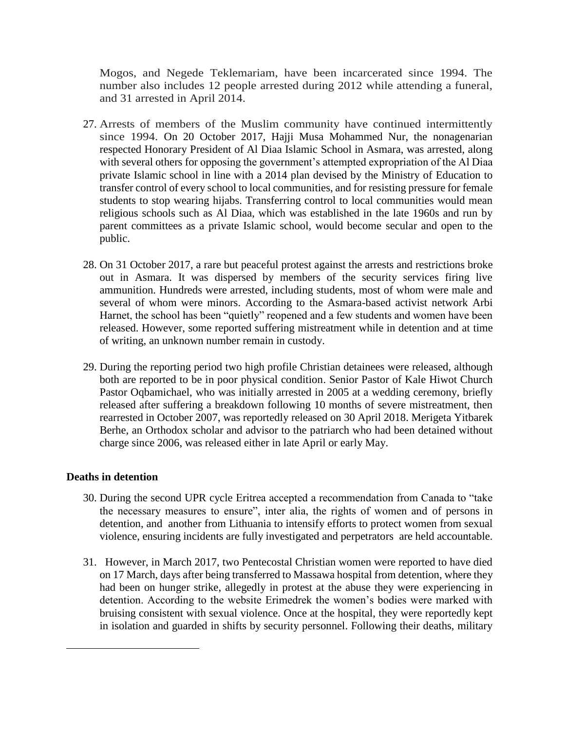Mogos, and Negede Teklemariam, have been incarcerated since 1994. The number also includes 12 people arrested during 2012 while attending a funeral, and 31 arrested in April 2014.

- 27. Arrests of members of the Muslim community have continued intermittently since 1994. On 20 October 2017, Hajji Musa Mohammed Nur, the nonagenarian respected Honorary President of Al Diaa Islamic School in Asmara, was arrested, along with several others for opposing the government's attempted expropriation of the Al Diaa private Islamic school in line with a 2014 plan devised by the Ministry of Education to transfer control of every school to local communities, and for resisting pressure for female students to stop wearing hijabs. Transferring control to local communities would mean religious schools such as Al Diaa, which was established in the late 1960s and run by parent committees as a private Islamic school, would become secular and open to the public.
- 28. On 31 October 2017, a rare but peaceful protest against the arrests and restrictions broke out in Asmara. It was dispersed by members of the security services firing live ammunition. Hundreds were arrested, including students, most of whom were male and several of whom were minors. According to the Asmara-based activist network Arbi Harnet, the school has been "quietly" reopened and a few students and women have been released. However, some reported suffering mistreatment while in detention and at time of writing, an unknown number remain in custody.
- 29. During the reporting period two high profile Christian detainees were released, although both are reported to be in poor physical condition. Senior Pastor of Kale Hiwot Church Pastor Oqbamichael, who was initially arrested in 2005 at a wedding ceremony, briefly released after suffering a breakdown following 10 months of severe mistreatment, then rearrested in October 2007, was reportedly released on 30 April 2018. Merigeta Yitbarek Berhe, an Orthodox scholar and advisor to the patriarch who had been detained without charge since 2006, was released either in late April or early May.

### **Deaths in detention**

 $\overline{a}$ 

- 30. During the second UPR cycle Eritrea accepted a recommendation from Canada to "take the necessary measures to ensure", inter alia, the rights of women and of persons in detention, and another from Lithuania to intensify efforts to protect women from sexual violence, ensuring incidents are fully investigated and perpetrators are held accountable.
- 31. However, in March 2017, two Pentecostal Christian women were reported to have died on 17 March, days after being transferred to Massawa hospital from detention, where they had been on hunger strike, allegedly in protest at the abuse they were experiencing in detention. According to the website Erimedrek the women's bodies were marked with bruising consistent with sexual violence. Once at the hospital, they were reportedly kept in isolation and guarded in shifts by security personnel. Following their deaths, military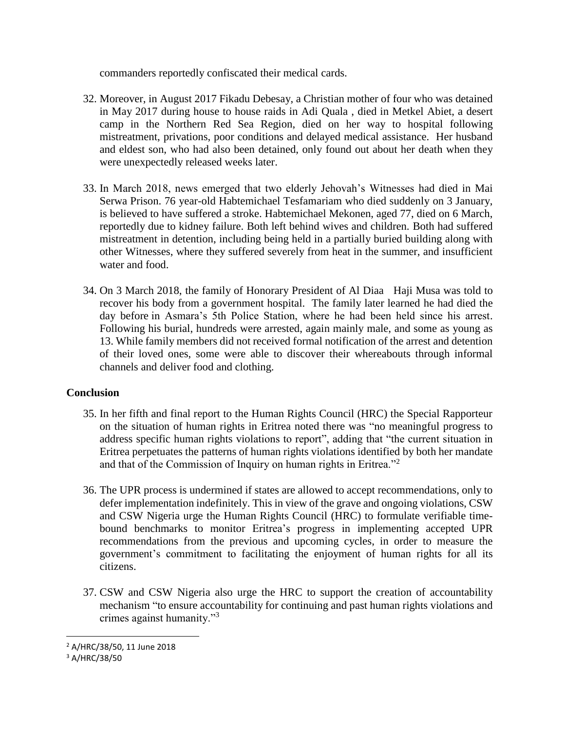commanders reportedly confiscated their medical cards.

- 32. Moreover, in August 2017 Fikadu Debesay, a Christian mother of four who was detained in May 2017 during house to house raids in Adi Quala , died in Metkel Abiet, a desert camp in the Northern Red Sea Region, died on her way to hospital following mistreatment, privations, poor conditions and delayed medical assistance. Her husband and eldest son, who had also been detained, only found out about her death when they were unexpectedly released weeks later.
- 33. In March 2018, news emerged that two elderly Jehovah's Witnesses had died in Mai Serwa Prison. 76 year-old Habtemichael Tesfamariam who died suddenly on 3 January, is believed to have suffered a stroke. Habtemichael Mekonen, aged 77, died on 6 March, reportedly due to kidney failure. Both left behind wives and children. Both had suffered mistreatment in detention, including being held in a partially buried building along with other Witnesses, where they suffered severely from heat in the summer, and insufficient water and food.
- 34. On 3 March 2018, the family of Honorary President of Al Diaa Haji Musa was told to recover his body from a government hospital. The family later learned he had died the day before in Asmara's 5th Police Station, where he had been held since his arrest. Following his burial, hundreds were arrested, again mainly male, and some as young as 13. While family members did not received formal notification of the arrest and detention of their loved ones, some were able to discover their whereabouts through informal channels and deliver food and clothing.

# **Conclusion**

- 35. In her fifth and final report to the Human Rights Council (HRC) the Special Rapporteur on the situation of human rights in Eritrea noted there was "no meaningful progress to address specific human rights violations to report", adding that "the current situation in Eritrea perpetuates the patterns of human rights violations identified by both her mandate and that of the Commission of Inquiry on human rights in Eritrea."<sup>2</sup>
- 36. The UPR process is undermined if states are allowed to accept recommendations, only to defer implementation indefinitely. This in view of the grave and ongoing violations, CSW and CSW Nigeria urge the Human Rights Council (HRC) to formulate verifiable timebound benchmarks to monitor Eritrea's progress in implementing accepted UPR recommendations from the previous and upcoming cycles, in order to measure the government's commitment to facilitating the enjoyment of human rights for all its citizens.
- 37. CSW and CSW Nigeria also urge the HRC to support the creation of accountability mechanism "to ensure accountability for continuing and past human rights violations and crimes against humanity."<sup>3</sup>

 $\overline{\phantom{a}}$ 

<sup>2</sup> A/HRC/38/50, 11 June 2018

<sup>3</sup> A/HRC/38/50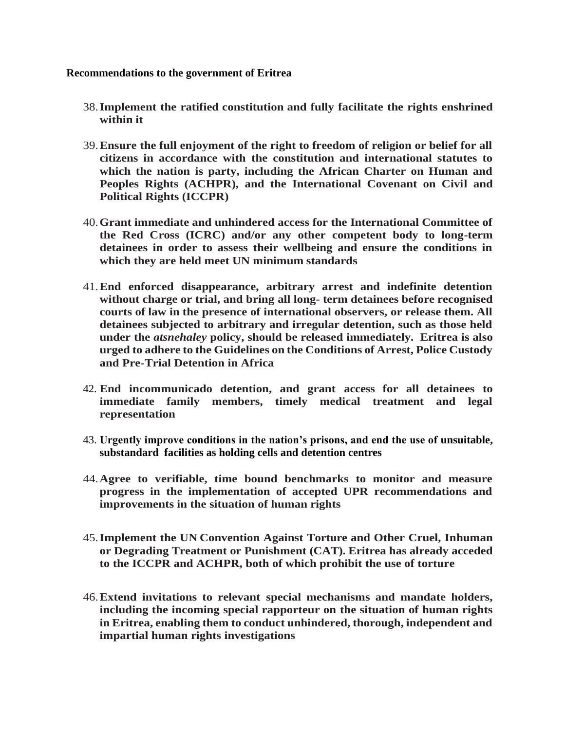### **Recommendations to the government of Eritrea**

- 38.**Implement the ratified constitution and fully facilitate the rights enshrined within it**
- 39.**Ensure the full enjoyment of the right to freedom of religion or belief for all citizens in accordance with the constitution and international statutes to which the nation is party, including the African Charter on Human and Peoples Rights (ACHPR), and the International Covenant on Civil and Political Rights (ICCPR)**
- 40.**Grant immediate and unhindered access for the International Committee of the Red Cross (ICRC) and/or any other competent body to long-term detainees in order to assess their wellbeing and ensure the conditions in which they are held meet UN minimum standards**
- 41.**End enforced disappearance, arbitrary arrest and indefinite detention without charge or trial, and bring all long- term detainees before recognised courts of law in the presence of international observers, or release them. All detainees subjected to arbitrary and irregular detention, such as those held under the** *atsnehaley* **policy, should be released immediately. Eritrea is also urged to adhere to the Guidelines on the Conditions of Arrest, Police Custody and Pre-Trial Detention in Africa**
- 42. **End incommunicado detention, and grant access for all detainees to immediate family members, timely medical treatment and legal representation**
- 43. **Urgently improve conditions in the nation's prisons, and end the use of unsuitable, substandard facilities as holding cells and detention centres**
- 44.**Agree to verifiable, time bound benchmarks to monitor and measure progress in the implementation of accepted UPR recommendations and improvements in the situation of human rights**
- 45.**Implement the UN Convention Against Torture and Other Cruel, Inhuman or Degrading Treatment or Punishment (CAT). Eritrea has already acceded to the ICCPR and ACHPR, both of which prohibit the use of torture**
- 46.**Extend invitations to relevant special mechanisms and mandate holders, including the incoming special rapporteur on the situation of human rights in Eritrea, enabling them to conduct unhindered, thorough, independent and impartial human rights investigations**